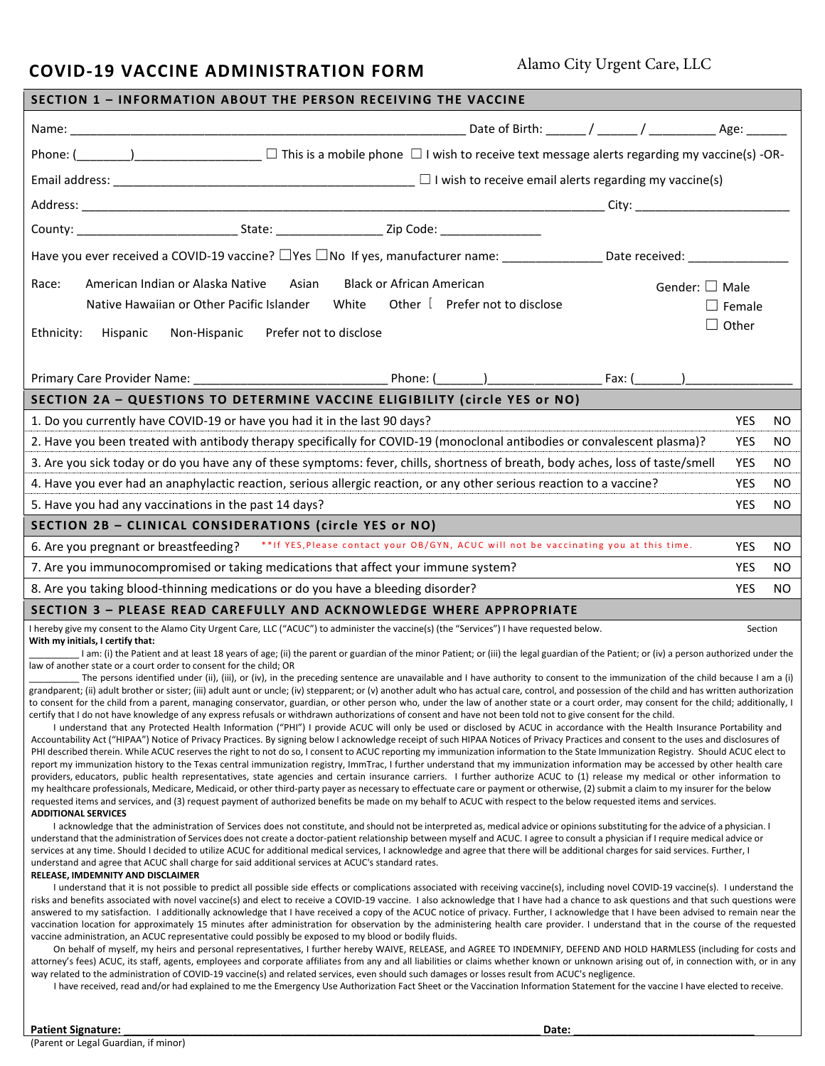## **COVID-19 VACCINE ADMINISTRATION FORM**

Alamo City Urgent Care, LLC

| SECTION 1 - INFORMATION ABOUT THE PERSON RECEIVING THE VACCINE                                                                                                                                                                                                                                                                                                                                                                                                                                                                                                                                                                                                                                                                                                                                                                                                                                                                                                                                                                                                                                                                                                                                                                                                                                                                                                                                                                                                                                                                                                                                                                                                                                                                                                                                                                                                                                                                                                                                                                                                                                                                                                                                                                                                                                         |                                  |                                |                        |               |     |
|--------------------------------------------------------------------------------------------------------------------------------------------------------------------------------------------------------------------------------------------------------------------------------------------------------------------------------------------------------------------------------------------------------------------------------------------------------------------------------------------------------------------------------------------------------------------------------------------------------------------------------------------------------------------------------------------------------------------------------------------------------------------------------------------------------------------------------------------------------------------------------------------------------------------------------------------------------------------------------------------------------------------------------------------------------------------------------------------------------------------------------------------------------------------------------------------------------------------------------------------------------------------------------------------------------------------------------------------------------------------------------------------------------------------------------------------------------------------------------------------------------------------------------------------------------------------------------------------------------------------------------------------------------------------------------------------------------------------------------------------------------------------------------------------------------------------------------------------------------------------------------------------------------------------------------------------------------------------------------------------------------------------------------------------------------------------------------------------------------------------------------------------------------------------------------------------------------------------------------------------------------------------------------------------------------|----------------------------------|--------------------------------|------------------------|---------------|-----|
|                                                                                                                                                                                                                                                                                                                                                                                                                                                                                                                                                                                                                                                                                                                                                                                                                                                                                                                                                                                                                                                                                                                                                                                                                                                                                                                                                                                                                                                                                                                                                                                                                                                                                                                                                                                                                                                                                                                                                                                                                                                                                                                                                                                                                                                                                                        |                                  |                                |                        |               |     |
| Phone: $($ $)$ $\Box$ This is a mobile phone $\Box$ I wish to receive text message alerts regarding my vaccine(s) -OR-                                                                                                                                                                                                                                                                                                                                                                                                                                                                                                                                                                                                                                                                                                                                                                                                                                                                                                                                                                                                                                                                                                                                                                                                                                                                                                                                                                                                                                                                                                                                                                                                                                                                                                                                                                                                                                                                                                                                                                                                                                                                                                                                                                                 |                                  |                                |                        |               |     |
| Email address: $\frac{1}{2}$ l wish to receive email alerts regarding my vaccine(s)                                                                                                                                                                                                                                                                                                                                                                                                                                                                                                                                                                                                                                                                                                                                                                                                                                                                                                                                                                                                                                                                                                                                                                                                                                                                                                                                                                                                                                                                                                                                                                                                                                                                                                                                                                                                                                                                                                                                                                                                                                                                                                                                                                                                                    |                                  |                                |                        |               |     |
|                                                                                                                                                                                                                                                                                                                                                                                                                                                                                                                                                                                                                                                                                                                                                                                                                                                                                                                                                                                                                                                                                                                                                                                                                                                                                                                                                                                                                                                                                                                                                                                                                                                                                                                                                                                                                                                                                                                                                                                                                                                                                                                                                                                                                                                                                                        |                                  |                                |                        |               |     |
|                                                                                                                                                                                                                                                                                                                                                                                                                                                                                                                                                                                                                                                                                                                                                                                                                                                                                                                                                                                                                                                                                                                                                                                                                                                                                                                                                                                                                                                                                                                                                                                                                                                                                                                                                                                                                                                                                                                                                                                                                                                                                                                                                                                                                                                                                                        |                                  |                                |                        |               |     |
| Have you ever received a COVID-19 vaccine? □Yes □No If yes, manufacturer name: _______________Date received: _______________                                                                                                                                                                                                                                                                                                                                                                                                                                                                                                                                                                                                                                                                                                                                                                                                                                                                                                                                                                                                                                                                                                                                                                                                                                                                                                                                                                                                                                                                                                                                                                                                                                                                                                                                                                                                                                                                                                                                                                                                                                                                                                                                                                           |                                  |                                |                        |               |     |
| American Indian or Alaska Native<br>Asian<br>Race:                                                                                                                                                                                                                                                                                                                                                                                                                                                                                                                                                                                                                                                                                                                                                                                                                                                                                                                                                                                                                                                                                                                                                                                                                                                                                                                                                                                                                                                                                                                                                                                                                                                                                                                                                                                                                                                                                                                                                                                                                                                                                                                                                                                                                                                     | <b>Black or African American</b> |                                | Gender: $\square$ Male |               |     |
| Native Hawaiian or Other Pacific Islander<br>White                                                                                                                                                                                                                                                                                                                                                                                                                                                                                                                                                                                                                                                                                                                                                                                                                                                                                                                                                                                                                                                                                                                                                                                                                                                                                                                                                                                                                                                                                                                                                                                                                                                                                                                                                                                                                                                                                                                                                                                                                                                                                                                                                                                                                                                     |                                  | Other [ Prefer not to disclose |                        | $\Box$ Female |     |
|                                                                                                                                                                                                                                                                                                                                                                                                                                                                                                                                                                                                                                                                                                                                                                                                                                                                                                                                                                                                                                                                                                                                                                                                                                                                                                                                                                                                                                                                                                                                                                                                                                                                                                                                                                                                                                                                                                                                                                                                                                                                                                                                                                                                                                                                                                        |                                  |                                |                        | $\Box$ Other  |     |
| Prefer not to disclose<br>Non-Hispanic<br>Ethnicity:<br>Hispanic                                                                                                                                                                                                                                                                                                                                                                                                                                                                                                                                                                                                                                                                                                                                                                                                                                                                                                                                                                                                                                                                                                                                                                                                                                                                                                                                                                                                                                                                                                                                                                                                                                                                                                                                                                                                                                                                                                                                                                                                                                                                                                                                                                                                                                       |                                  |                                |                        |               |     |
|                                                                                                                                                                                                                                                                                                                                                                                                                                                                                                                                                                                                                                                                                                                                                                                                                                                                                                                                                                                                                                                                                                                                                                                                                                                                                                                                                                                                                                                                                                                                                                                                                                                                                                                                                                                                                                                                                                                                                                                                                                                                                                                                                                                                                                                                                                        |                                  |                                |                        |               |     |
| SECTION 2A - QUESTIONS TO DETERMINE VACCINE ELIGIBILITY (circle YES or NO)                                                                                                                                                                                                                                                                                                                                                                                                                                                                                                                                                                                                                                                                                                                                                                                                                                                                                                                                                                                                                                                                                                                                                                                                                                                                                                                                                                                                                                                                                                                                                                                                                                                                                                                                                                                                                                                                                                                                                                                                                                                                                                                                                                                                                             |                                  |                                |                        |               |     |
| 1. Do you currently have COVID-19 or have you had it in the last 90 days?                                                                                                                                                                                                                                                                                                                                                                                                                                                                                                                                                                                                                                                                                                                                                                                                                                                                                                                                                                                                                                                                                                                                                                                                                                                                                                                                                                                                                                                                                                                                                                                                                                                                                                                                                                                                                                                                                                                                                                                                                                                                                                                                                                                                                              |                                  |                                |                        | <b>YES</b>    | NO. |
| 2. Have you been treated with antibody therapy specifically for COVID-19 (monoclonal antibodies or convalescent plasma)?                                                                                                                                                                                                                                                                                                                                                                                                                                                                                                                                                                                                                                                                                                                                                                                                                                                                                                                                                                                                                                                                                                                                                                                                                                                                                                                                                                                                                                                                                                                                                                                                                                                                                                                                                                                                                                                                                                                                                                                                                                                                                                                                                                               |                                  |                                |                        | <b>YES</b>    | NO. |
| 3. Are you sick today or do you have any of these symptoms: fever, chills, shortness of breath, body aches, loss of taste/smell                                                                                                                                                                                                                                                                                                                                                                                                                                                                                                                                                                                                                                                                                                                                                                                                                                                                                                                                                                                                                                                                                                                                                                                                                                                                                                                                                                                                                                                                                                                                                                                                                                                                                                                                                                                                                                                                                                                                                                                                                                                                                                                                                                        |                                  |                                |                        | <b>YES</b>    | NO. |
| 4. Have you ever had an anaphylactic reaction, serious allergic reaction, or any other serious reaction to a vaccine?                                                                                                                                                                                                                                                                                                                                                                                                                                                                                                                                                                                                                                                                                                                                                                                                                                                                                                                                                                                                                                                                                                                                                                                                                                                                                                                                                                                                                                                                                                                                                                                                                                                                                                                                                                                                                                                                                                                                                                                                                                                                                                                                                                                  |                                  |                                |                        | <b>YES</b>    | NO. |
| 5. Have you had any vaccinations in the past 14 days?                                                                                                                                                                                                                                                                                                                                                                                                                                                                                                                                                                                                                                                                                                                                                                                                                                                                                                                                                                                                                                                                                                                                                                                                                                                                                                                                                                                                                                                                                                                                                                                                                                                                                                                                                                                                                                                                                                                                                                                                                                                                                                                                                                                                                                                  |                                  |                                |                        | <b>YES</b>    | NO. |
| SECTION 2B - CLINICAL CONSIDERATIONS (circle YES or NO)                                                                                                                                                                                                                                                                                                                                                                                                                                                                                                                                                                                                                                                                                                                                                                                                                                                                                                                                                                                                                                                                                                                                                                                                                                                                                                                                                                                                                                                                                                                                                                                                                                                                                                                                                                                                                                                                                                                                                                                                                                                                                                                                                                                                                                                |                                  |                                |                        |               |     |
| 6. Are you pregnant or breastfeeding? ** If YES, Please contact your OB/GYN, ACUC will not be vaccinating you at this time.                                                                                                                                                                                                                                                                                                                                                                                                                                                                                                                                                                                                                                                                                                                                                                                                                                                                                                                                                                                                                                                                                                                                                                                                                                                                                                                                                                                                                                                                                                                                                                                                                                                                                                                                                                                                                                                                                                                                                                                                                                                                                                                                                                            |                                  |                                |                        | <b>YES</b>    | NO. |
| 7. Are you immunocompromised or taking medications that affect your immune system?                                                                                                                                                                                                                                                                                                                                                                                                                                                                                                                                                                                                                                                                                                                                                                                                                                                                                                                                                                                                                                                                                                                                                                                                                                                                                                                                                                                                                                                                                                                                                                                                                                                                                                                                                                                                                                                                                                                                                                                                                                                                                                                                                                                                                     |                                  |                                |                        | <b>YES</b>    | NO. |
| 8. Are you taking blood-thinning medications or do you have a bleeding disorder?                                                                                                                                                                                                                                                                                                                                                                                                                                                                                                                                                                                                                                                                                                                                                                                                                                                                                                                                                                                                                                                                                                                                                                                                                                                                                                                                                                                                                                                                                                                                                                                                                                                                                                                                                                                                                                                                                                                                                                                                                                                                                                                                                                                                                       |                                  |                                |                        | <b>YES</b>    | NO. |
| <b>SECTION 3 - PLEASE READ CAREFULLY AND ACKNOWLEDGE WHERE APPROPRIATE</b>                                                                                                                                                                                                                                                                                                                                                                                                                                                                                                                                                                                                                                                                                                                                                                                                                                                                                                                                                                                                                                                                                                                                                                                                                                                                                                                                                                                                                                                                                                                                                                                                                                                                                                                                                                                                                                                                                                                                                                                                                                                                                                                                                                                                                             |                                  |                                |                        |               |     |
| I hereby give my consent to the Alamo City Urgent Care, LLC ("ACUC") to administer the vaccine(s) (the "Services") I have requested below.<br>With my initials, I certify that:<br>I am: (i) the Patient and at least 18 years of age; (ii) the parent or guardian of the minor Patient; or (iii) the legal guardian of the Patient; or (iv) a person authorized under the                                                                                                                                                                                                                                                                                                                                                                                                                                                                                                                                                                                                                                                                                                                                                                                                                                                                                                                                                                                                                                                                                                                                                                                                                                                                                                                                                                                                                                                                                                                                                                                                                                                                                                                                                                                                                                                                                                                             |                                  |                                |                        | Section       |     |
| law of another state or a court order to consent for the child; OR<br>The persons identified under (ii), (iii), or (iv), in the preceding sentence are unavailable and I have authority to consent to the immunization of the child because I am a (i)<br>grandparent; (ii) adult brother or sister; (iii) adult aunt or uncle; (iv) stepparent; or (v) another adult who has actual care, control, and possession of the child and has written authorization<br>to consent for the child from a parent, managing conservator, guardian, or other person who, under the law of another state or a court order, may consent for the child; additionally, I<br>certify that I do not have knowledge of any express refusals or withdrawn authorizations of consent and have not been told not to give consent for the child.<br>I understand that any Protected Health Information ("PHI") I provide ACUC will only be used or disclosed by ACUC in accordance with the Health Insurance Portability and<br>Accountability Act ("HIPAA") Notice of Privacy Practices. By signing below I acknowledge receipt of such HIPAA Notices of Privacy Practices and consent to the uses and disclosures of<br>PHI described therein. While ACUC reserves the right to not do so, I consent to ACUC reporting my immunization information to the State Immunization Registry. Should ACUC elect to<br>report my immunization history to the Texas central immunization registry, ImmTrac, I further understand that my immunization information may be accessed by other health care<br>providers, educators, public health representatives, state agencies and certain insurance carriers. I further authorize ACUC to (1) release my medical or other information to<br>my healthcare professionals, Medicare, Medicaid, or other third-party payer as necessary to effectuate care or payment or otherwise, (2) submit a claim to my insurer for the below<br>requested items and services, and (3) request payment of authorized benefits be made on my behalf to ACUC with respect to the below requested items and services.<br><b>ADDITIONAL SERVICES</b>                                                                                                                                                  |                                  |                                |                        |               |     |
| I acknowledge that the administration of Services does not constitute, and should not be interpreted as, medical advice or opinions substituting for the advice of a physician. I<br>understand that the administration of Services does not create a doctor-patient relationship between myself and ACUC. I agree to consult a physician if I require medical advice or<br>services at any time. Should I decided to utilize ACUC for additional medical services, I acknowledge and agree that there will be additional charges for said services. Further, I<br>understand and agree that ACUC shall charge for said additional services at ACUC's standard rates.<br>RELEASE, IMDEMNITY AND DISCLAIMER<br>I understand that it is not possible to predict all possible side effects or complications associated with receiving vaccine(s), including novel COVID-19 vaccine(s). I understand the<br>risks and benefits associated with novel vaccine(s) and elect to receive a COVID-19 vaccine. I also acknowledge that I have had a chance to ask questions and that such questions were<br>answered to my satisfaction. I additionally acknowledge that I have received a copy of the ACUC notice of privacy. Further, I acknowledge that I have been advised to remain near the<br>vaccination location for approximately 15 minutes after administration for observation by the administering health care provider. I understand that in the course of the requested<br>vaccine administration, an ACUC representative could possibly be exposed to my blood or bodily fluids.<br>On behalf of myself, my heirs and personal representatives, I further hereby WAIVE, RELEASE, and AGREE TO INDEMNIFY, DEFEND AND HOLD HARMLESS (including for costs and<br>attorney's fees) ACUC, its staff, agents, employees and corporate affiliates from any and all liabilities or claims whether known or unknown arising out of, in connection with, or in any<br>way related to the administration of COVID-19 vaccine(s) and related services, even should such damages or losses result from ACUC's negligence.<br>I have received, read and/or had explained to me the Emergency Use Authorization Fact Sheet or the Vaccination Information Statement for the vaccine I have elected to receive. |                                  |                                |                        |               |     |